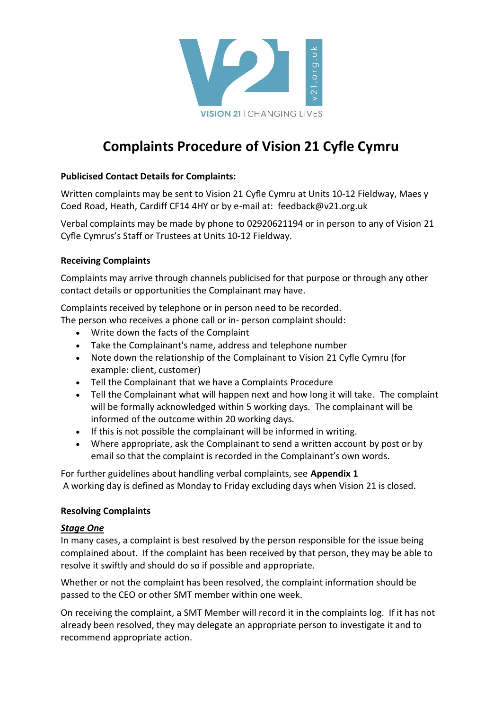

# **Complaints Procedure of Vision 21 Cyfle Cymru**

### **Publicised Contact Details for Complaints:**

Written complaints may be sent to Vision 21 Cyfle Cymru at Units 10-12 Fieldway, Maes y Coed Road, Heath, Cardiff CF14 4HY or by e-mail at: feedback@v21.org.uk

Verbal complaints may be made by phone to 02920621194 or in person to any of Vision 21 Cyfle Cymrus's Staff or Trustees at Units 10-12 Fieldway.

#### **Receiving Complaints**

Complaints may arrive through channels publicised for that purpose or through any other contact details or opportunities the Complainant may have.

Complaints received by telephone or in person need to be recorded.

The person who receives a phone call or in- person complaint should:

- Write down the facts of the Complaint
- Take the Complainant's name, address and telephone number
- Note down the relationship of the Complainant to Vision 21 Cyfle Cymru (for example: client, customer)
- Tell the Complainant that we have a Complaints Procedure
- Tell the Complainant what will happen next and how long it will take. The complaint will be formally acknowledged within 5 working days. The complainant will be informed of the outcome within 20 working days.
- If this is not possible the complainant will be informed in writing.
- Where appropriate, ask the Complainant to send a written account by post or by email so that the complaint is recorded in the Complainant's own words.

For further guidelines about handling verbal complaints, see **Appendix 1** A working day is defined as Monday to Friday excluding days when Vision 21 is closed.

#### **Resolving Complaints**

#### *Stage One*

In many cases, a complaint is best resolved by the person responsible for the issue being complained about. If the complaint has been received by that person, they may be able to resolve it swiftly and should do so if possible and appropriate.

Whether or not the complaint has been resolved, the complaint information should be passed to the CEO or other SMT member within one week.

On receiving the complaint, a SMT Member will record it in the complaints log. If it has not already been resolved, they may delegate an appropriate person to investigate it and to recommend appropriate action.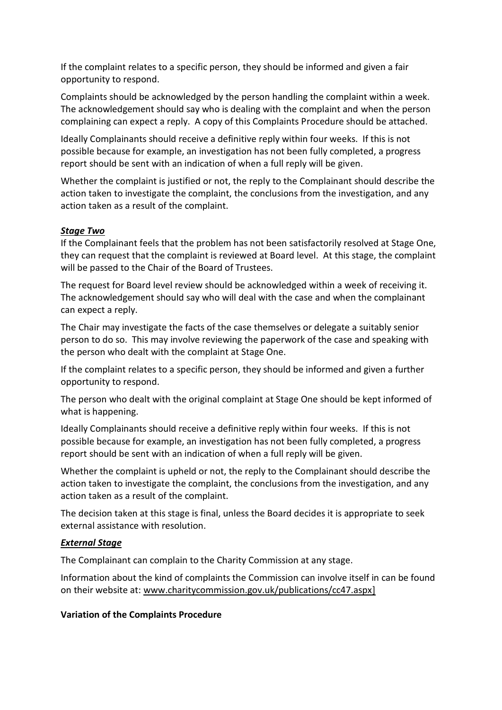If the complaint relates to a specific person, they should be informed and given a fair opportunity to respond.

Complaints should be acknowledged by the person handling the complaint within a week. The acknowledgement should say who is dealing with the complaint and when the person complaining can expect a reply. A copy of this Complaints Procedure should be attached.

Ideally Complainants should receive a definitive reply within four weeks. If this is not possible because for example, an investigation has not been fully completed, a progress report should be sent with an indication of when a full reply will be given.

Whether the complaint is justified or not, the reply to the Complainant should describe the action taken to investigate the complaint, the conclusions from the investigation, and any action taken as a result of the complaint.

#### *Stage Two*

If the Complainant feels that the problem has not been satisfactorily resolved at Stage One, they can request that the complaint is reviewed at Board level. At this stage, the complaint will be passed to the Chair of the Board of Trustees.

The request for Board level review should be acknowledged within a week of receiving it. The acknowledgement should say who will deal with the case and when the complainant can expect a reply.

The Chair may investigate the facts of the case themselves or delegate a suitably senior person to do so. This may involve reviewing the paperwork of the case and speaking with the person who dealt with the complaint at Stage One.

If the complaint relates to a specific person, they should be informed and given a further opportunity to respond.

The person who dealt with the original complaint at Stage One should be kept informed of what is happening.

Ideally Complainants should receive a definitive reply within four weeks. If this is not possible because for example, an investigation has not been fully completed, a progress report should be sent with an indication of when a full reply will be given.

Whether the complaint is upheld or not, the reply to the Complainant should describe the action taken to investigate the complaint, the conclusions from the investigation, and any action taken as a result of the complaint.

The decision taken at this stage is final, unless the Board decides it is appropriate to seek external assistance with resolution.

# *External Stage*

The Complainant can complain to the Charity Commission at any stage.

Information about the kind of complaints the Commission can involve itself in can be found on their website at: [www.charitycommission.gov.uk/publications/cc47.aspx\]](http://www.charitycommission.gov.uk/publications/cc47.aspx)

# **Variation of the Complaints Procedure**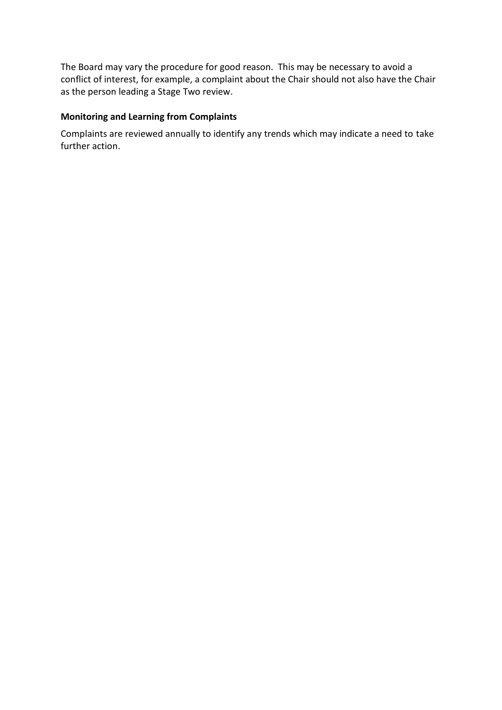The Board may vary the procedure for good reason. This may be necessary to avoid a conflict of interest, for example, a complaint about the Chair should not also have the Chair as the person leading a Stage Two review.

# **Monitoring and Learning from Complaints**

Complaints are reviewed annually to identify any trends which may indicate a need to take further action.